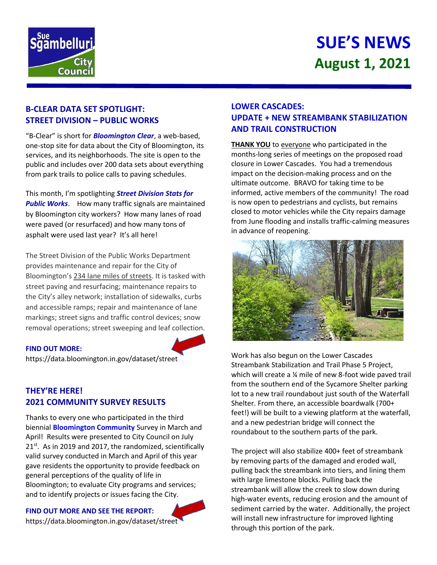

# **Sgambelluri** Counci

## **B-CLEAR DATA SET SPOTLIGHT: STREET DIVISION – PUBLIC WORKS**

"B-Clear" is short for *Bloomington Clear*, a web-based, one-stop site for data about the City of Bloomington, its services, and its neighborhoods. The site is open to the public and includes over 200 data sets about everything from park trails to police calls to paving schedules.

This month, I'm spotlighting *Street Division Stats for Public Works*. How many traffic signals are maintained by Bloomington city workers? How many lanes of road were paved (or resurfaced) and how many tons of asphalt were used last year? It's all here!

The Street Division of the Public Works Department provides maintenance and repair for the City of Bloomington's 234 lane miles of streets. It is tasked with street paving and resurfacing; maintenance repairs to the City's alley network; installation of sidewalks, curbs and accessible ramps; repair and maintenance of lane markings; street signs and traffic control devices; snow removal operations; street sweeping and leaf collection.

#### **FIND OUT MORE:**

https://data.bloomington.in.gov/dataset/street

## **THEY'RE HERE! 2021 COMMUNITY SURVEY RESULTS**

Thanks to every one who participated in the third biennial **Bloomington Community** Survey in March and April! Results were presented to City Council on July 21<sup>st</sup>. As in 2019 and 2017, the randomized, scientifically valid survey conducted in March and April of this year gave residents the opportunity to provide feedback on general perceptions of the quality of life in Bloomington; to evaluate City programs and services; and to identify projects or issues facing the City.

#### **FIND OUT MORE AND SEE THE REPORT:**

https://data.bloomington.in.gov/dataset/street

## **LOWER CASCADES: UPDATE + NEW STREAMBANK STABILIZATION AND TRAIL CONSTRUCTION**

**THANK YOU** to everyone who participated in the months-long series of meetings on the proposed road closure in Lower Cascades. You had a tremendous impact on the decision-making process and on the ultimate outcome. BRAVO for taking time to be informed, active members of the community! The road is now open to pedestrians and cyclists, but remains closed to motor vehicles while the City repairs damage from June flooding and installs traffic-calming measures in advance of reopening.



Work has also begun on the Lower Cascades Streambank Stabilization and Trail Phase 5 Project, which will create a ¼ mile of new 8-foot wide paved trail from the southern end of the Sycamore Shelter parking lot to a new trail roundabout just south of the Waterfall Shelter. From there, an accessible boardwalk (700+ feet!) will be built to a viewing platform at the waterfall, and a new pedestrian bridge will connect the roundabout to the southern parts of the park.

The project will also stabilize 400+ feet of streambank by removing parts of the damaged and eroded wall, pulling back the streambank into tiers, and lining them with large limestone blocks. Pulling back the streambank will allow the creek to slow down during high-water events, reducing erosion and the amount of sediment carried by the water. Additionally, the project will install new infrastructure for improved lighting through this portion of the park.